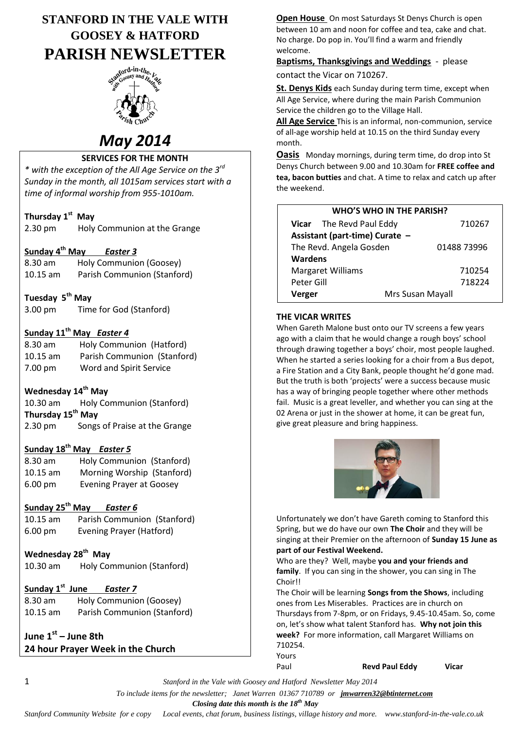# **STANFORD IN THE VALE WITH GOOSEY & HATFORD PARISH NEWSLETTER**



# *May 2014*

#### **SERVICES FOR THE MONTH**

*\* with the exception of the All Age Service on the 3rd Sunday in the month, all 1015am services start with a time of informal worship from 955-1010am.*

#### **Thursday 1 st May**

2.30 pm Holy Communion at the Grange

#### **Sunday 4 th May** *Easter 3*

| 8.30 am            | Holy Communion (Goosey)     |
|--------------------|-----------------------------|
| $10.15 \text{ am}$ | Parish Communion (Stanford) |

#### **Tuesday 5th May**

3.00 pm Time for God (Stanford)

#### **Sunday 11th May** *Easter 4*

8.30 am Holy Communion (Hatford) 10.15 am Parish Communion (Stanford) 7.00 pm Word and Spirit Service

#### **Wednesday 14th May**

10.30 am Holy Communion (Stanford) **Thursday 15th May** 2.30 pm Songs of Praise at the Grange

# **Sunday 18th May** *Easter 5*

| $8.30$ am         | Holy Communion (Stanford)       |  |
|-------------------|---------------------------------|--|
| $10.15$ am        | Morning Worship (Stanford)      |  |
| $6.00 \text{ pm}$ | <b>Evening Prayer at Goosey</b> |  |

#### **Sunday 25th May** *Easter 6*

| $10.15$ am        | Parish Communion (Stanford) |
|-------------------|-----------------------------|
| $6.00 \text{ pm}$ | Evening Prayer (Hatford)    |

#### **Wednesday 28th May**

| Holy Communion (Stanford)<br>$10.30$ am |  |
|-----------------------------------------|--|
|-----------------------------------------|--|

#### **Sunday 1st June** *Easter 7*

8.30 am Holy Communion (Goosey) 10.15 am Parish Communion (Stanford)

#### **June 1st – June 8th 24 hour Prayer Week in the Church**

**Open House** On most Saturdays St Denys Church is open between 10 am and noon for coffee and tea, cake and chat. No charge. Do pop in. You'll find a warm and friendly welcome.

**Baptisms, Thanksgivings and Weddings** - please contact the Vicar on 710267.

**St. Denys Kids** each Sunday during term time, except when All Age Service, where during the main Parish Communion Service the children go to the Village Hall.

**All Age Service** This is an informal, non-communion, service of all-age worship held at 10.15 on the third Sunday every month.

**Oasis** Monday mornings, during term time, do drop into St Denys Church between 9.00 and 10.30am for **FREE coffee and tea, bacon butties** and chat. A time to relax and catch up after the weekend.

| <b>WHO'S WHO IN THE PARISH?</b> |                                 |                  |  |  |
|---------------------------------|---------------------------------|------------------|--|--|
|                                 | <b>Vicar</b> The Revd Paul Eddy | 710267           |  |  |
| Assistant (part-time) Curate -  |                                 |                  |  |  |
| The Revd. Angela Gosden         |                                 | 01488 73996      |  |  |
| <b>Wardens</b>                  |                                 |                  |  |  |
| <b>Margaret Williams</b>        |                                 | 710254           |  |  |
| Peter Gill                      |                                 | 718224           |  |  |
| Verger                          |                                 | Mrs Susan Mayall |  |  |

#### **THE VICAR WRITES**

When Gareth Malone bust onto our TV screens a few years ago with a claim that he would change a rough boys' school through drawing together a boys' choir, most people laughed. When he started a series looking for a choir from a Bus depot, a Fire Station and a City Bank, people thought he'd gone mad. But the truth is both 'projects' were a success because music has a way of bringing people together where other methods fail. Music is a great leveller, and whether you can sing at the 02 Arena or just in the shower at home, it can be great fun, give great pleasure and bring happiness.



Unfortunately we don't have Gareth coming to Stanford this Spring, but we do have our own **The Choir** and they will be singing at their Premier on the afternoon of **Sunday 15 June as part of our Festival Weekend.**

Who are they? Well, maybe **you and your friends and family**. If you can sing in the shower, you can sing in The Choir!!

The Choir will be learning **Songs from the Shows**, including ones from Les Miserables. Practices are in church on Thursdays from 7-8pm, or on Fridays, 9.45-10.45am. So, come on, let's show what talent Stanford has. **Why not join this week?** For more information, call Margaret Williams on 710254.

Paul **Revd Paul Eddy Vicar**

1 *Stanford in the Vale with Goosey and Hatford Newsletter May 2014*

 *To include items for the newsletter; Janet Warren 01367 710789 or jmwarren32@btinternet.com*

Yours

 *Closing date this month is the 18th May*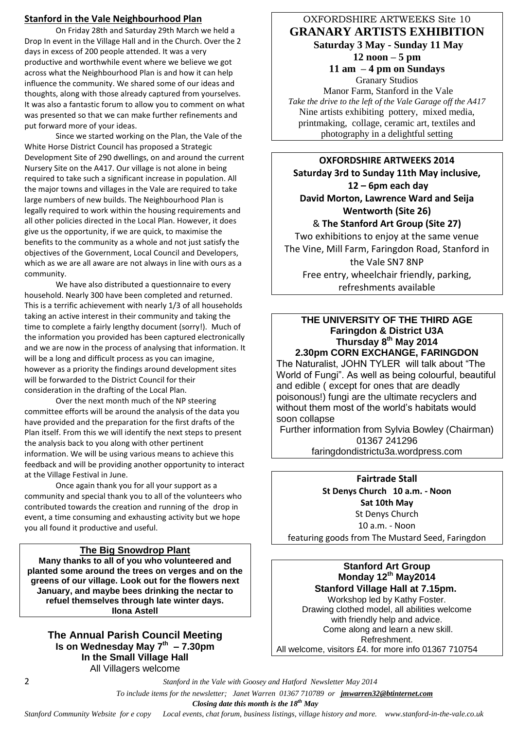#### **Stanford in the Vale Neighbourhood Plan**

On Friday 28th and Saturday 29th March we held a Drop In event in the Village Hall and in the Church. Over the 2 days in excess of 200 people attended. It was a very productive and worthwhile event where we believe we got across what the Neighbourhood Plan is and how it can help influence the community. We shared some of our ideas and thoughts, along with those already captured from yourselves. It was also a fantastic forum to allow you to comment on what was presented so that we can make further refinements and put forward more of your ideas.

Since we started working on the Plan, the Vale of the White Horse District Council has proposed a Strategic Development Site of 290 dwellings, on and around the current Nursery Site on the A417. Our village is not alone in being required to take such a significant increase in population. All the major towns and villages in the Vale are required to take large numbers of new builds. The Neighbourhood Plan is legally required to work within the housing requirements and all other policies directed in the Local Plan. However, it does give us the opportunity, if we are quick, to maximise the benefits to the community as a whole and not just satisfy the objectives of the Government, Local Council and Developers, which as we are all aware are not always in line with ours as a community.

We have also distributed a questionnaire to every household. Nearly 300 have been completed and returned. This is a terrific achievement with nearly 1/3 of all households taking an active interest in their community and taking the time to complete a fairly lengthy document (sorry!). Much of the information you provided has been captured electronically and we are now in the process of analysing that information. It will be a long and difficult process as you can imagine, however as a priority the findings around development sites will be forwarded to the District Council for their consideration in the drafting of the Local Plan.

Over the next month much of the NP steering committee efforts will be around the analysis of the data you have provided and the preparation for the first drafts of the Plan itself. From this we will identify the next steps to present the analysis back to you along with other pertinent information. We will be using various means to achieve this feedback and will be providing another opportunity to interact at the Village Festival in June.

Once again thank you for all your support as a community and special thank you to all of the volunteers who contributed towards the creation and running of the drop in event, a time consuming and exhausting activity but we hope you all found it productive and useful.

#### **The Big Snowdrop Plant**

**Many thanks to all of you who volunteered and planted some around the trees on verges and on the greens of our village. Look out for the flowers next January, and maybe bees drinking the nectar to refuel themselves through late winter days. Ilona Astell**

#### **The Annual Parish Council Meeting Is on Wednesday May 7 th – 7.30pm In the Small Village Hall** All Villagers welcome

#### OXFORDSHIRE ARTWEEKS Site 10 **GRANARY ARTISTS EXHIBITION Saturday 3 May - Sunday 11 May 12 noon – 5 pm 11 am – 4 pm on Sundays**

Granary Studios Manor Farm, Stanford in the Vale *Take the drive to the left of the Vale Garage off the A417* Nine artists exhibiting pottery, mixed media, printmaking, collage, ceramic art, textiles and photography in a delightful setting

**OXFORDSHIRE ARTWEEKS 2014 Saturday 3rd to Sunday 11th May inclusive, 12 – 6pm each day David Morton, Lawrence Ward and Seija Wentworth (Site 26)** & **The Stanford Art Group (Site 27)**

Two exhibitions to enjoy at the same venue The Vine, Mill Farm, Faringdon Road, Stanford in the Vale SN7 8NP Free entry, wheelchair friendly, parking, refreshments available

#### **THE UNIVERSITY OF THE THIRD AGE Faringdon & District U3A Thursday 8th May 2014 2.30pm CORN EXCHANGE, FARINGDON**

The Naturalist, JOHN TYLER will talk about "The World of Fungi". As well as being colourful, beautiful and edible ( except for ones that are deadly poisonous!) fungi are the ultimate recyclers and without them most of the world's habitats would soon collapse

Further information from Sylvia Bowley (Chairman) 01367 241296 faringdondistrictu3a.wordpress.com

**Fairtrade Stall St Denys Church 10 a.m. - Noon Sat 10th May** St Denys Church 10 a.m. - Noon featuring goods from The Mustard Seed, Faringdon

**Stanford Art Group Monday 12th May2014 Stanford Village Hall at 7.15pm.** Workshop led by Kathy Foster. Drawing clothed model, all abilities welcome with friendly help and advice. Come along and learn a new skill. Refreshment. All welcome, visitors £4. for more info 01367 710754

2 *Stanford in the Vale with Goosey and Hatford Newsletter May 2014*

 *To include items for the newsletter; Janet Warren 01367 710789 or jmwarren32@btinternet.com*

 *Closing date this month is the 18th May*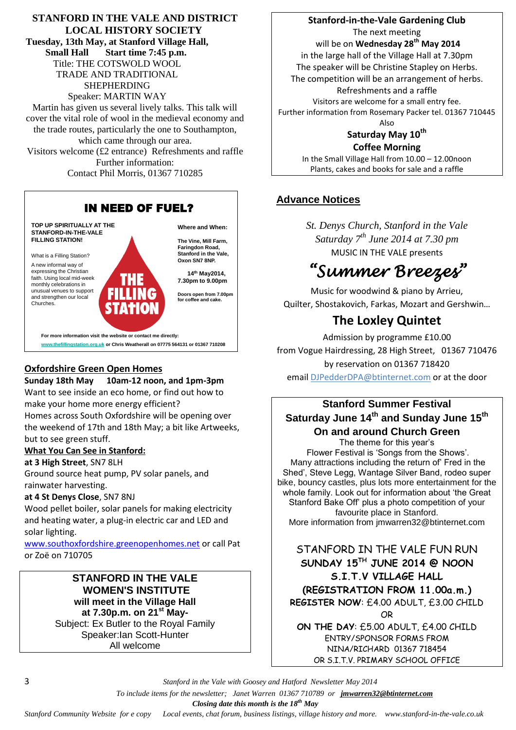**STANFORD IN THE VALE AND DISTRICT LOCAL HISTORY SOCIETY Tuesday, 13th May, at Stanford Village Hall, Small Hall Start time 7:45 p.m.** Title: THE COTSWOLD WOOL TRADE AND TRADITIONAL SHEPHERDING Speaker: MARTIN WAY Martin has given us several lively talks. This talk will cover the vital role of wool in the medieval economy and the trade routes, particularly the one to Southampton, which came through our area. Visitors welcome (£2 entrance) Refreshments and raffle Further information: Contact Phil Morris, 01367 710285



#### **Oxfordshire Green Open Homes**

**Sunday 18th May 10am-12 noon, and 1pm-3pm** Want to see inside an eco home, or find out how to make your home more energy efficient? Homes across South Oxfordshire will be opening over the weekend of 17th and 18th May; a bit like Artweeks, but to see green stuff.

#### **What You Can See in Stanford:**

**at 3 High Street**, SN7 8LH

Ground source heat pump, PV solar panels, and rainwater harvesting.

#### **at 4 St Denys Close**, SN7 8NJ

Wood pellet boiler, solar panels for making electricity and heating water, a plug-in electric car and LED and solar lighting.

[www.southoxfordshire.greenopenhomes.net](http://www.southoxfordshire.greenopenhomes.net/) or call Pat or Zoë on 710705

#### **STANFORD IN THE VALE WOMEN'S INSTITUTE will meet in the Village Hall at 7.30p.m. on 21st May-**Subject: Ex Butler to the Royal Family Speaker:Ian Scott-Hunter All welcome

**Stanford-in-the-Vale Gardening Club** The next meeting will be on **Wednesday 28th May 2014** in the large hall of the Village Hall at 7.30pm The speaker will be Christine Stapley on Herbs. The competition will be an arrangement of herbs. Refreshments and a raffle Visitors are welcome for a small entry fee. Further information from Rosemary Packer tel. 01367 710445 Also

#### **Saturday May 10th Coffee Morning**

In the Small Village Hall from 10.00 – 12.00noon Plants, cakes and books for sale and a raffle

### **Advance Notices**

*St. Denys Church, Stanford in the Vale Saturday 7th June 2014 at 7.30 pm* MUSIC IN THE VALE presents

# *"Summer Breezes"*

Music for woodwind & piano by Arrieu, Quilter, Shostakovich, Farkas, Mozart and Gershwin…

# **The Loxley Quintet**

Admission by programme £10.00 from Vogue Hairdressing, 28 High Street, 01367 710476 by reservation on 01367 718420 emai[l DJPedderDPA@btinternet.com](mailto:DJPedderDPA@btinternet.com) or at the door

## **Stanford Summer Festival Saturday June 14 th and Sunday June 15 th On and around Church Green**

The theme for this year's Flower Festival is 'Songs from the Shows'. Many attractions including the return of' Fred in the Shed', Steve Legg, Wantage Silver Band, rodeo super bike, bouncy castles, plus lots more entertainment for the whole family. Look out for information about 'the Great Stanford Bake Off' plus a photo competition of your favourite place in Stanford. More information from jmwarren32@btinternet.com

STANFORD IN THE VALE FUN RUN **SUNDAY 15TH JUNE 2014 @ NOON S.I.T.V VILLAGE HALL (REGISTRATION FROM 11.00a.m.) REGISTER NOW**: £4.00 ADULT, £3.00 CHILD OR

**ON THE DAY**: £5.00 ADULT, £4.00 CHILD ENTRY/SPONSOR FORMS FROM NINA/RICHARD 01367 718454 OR S.I.T.V. PRIMARY SCHOOL OFFICE

3 *Stanford in the Vale with Goosey and Hatford Newsletter May 2014*

 *To include items for the newsletter; Janet Warren 01367 710789 or jmwarren32@btinternet.com*

 *Closing date this month is the 18th May*